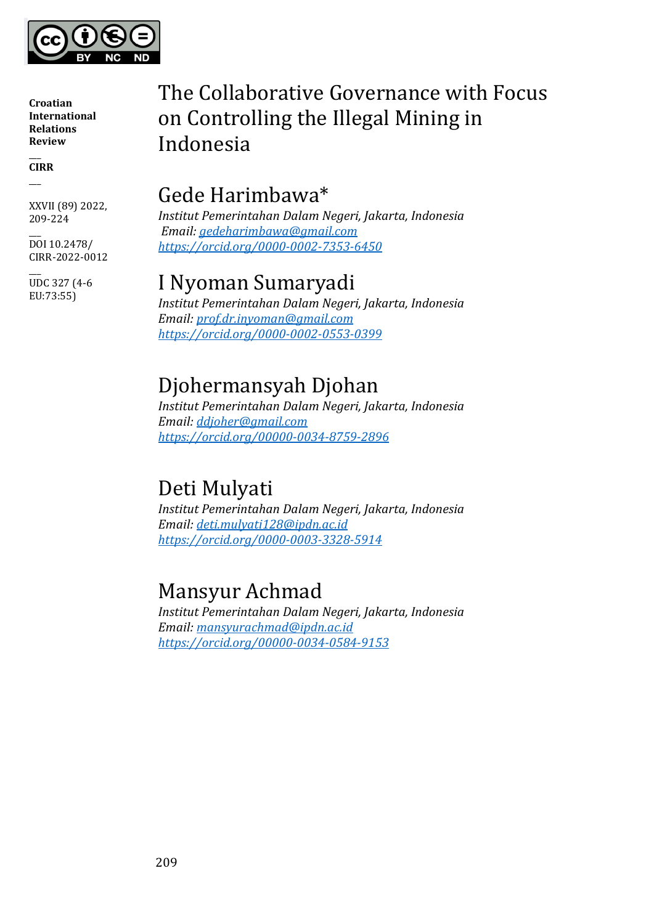

 $\overline{\phantom{a}}$ **CIRR**  $\overline{\phantom{a}}$ 

XXVII (89) 2022, 209-224

 $\overline{\phantom{a}}$ DOI 10.2478/ CIRR-2022-0012

 $\overline{\phantom{a}}$ UDC 327 (4-6 EU:73:55)

# The Collaborative Governance with Focus on Controlling the Illegal Mining in Indonesia

## Gede Harimbawa\*

*Institut Pemerintahan Dalam Negeri, Jakarta, Indonesia Email: [gedeharimbawa@gmail.com](mailto:gedeharimbawa@gmail.com) <https://orcid.org/0000-0002-7353-6450>*

## I Nyoman Sumaryadi

*Institut Pemerintahan Dalam Negeri, Jakarta, Indonesia Email: [prof.dr.inyoman@gmail.com](mailto:prof.dr.inyoman@gmail.com) <https://orcid.org/0000-0002-0553-0399>*

## Djohermansyah Djohan

*Institut Pemerintahan Dalam Negeri, Jakarta, Indonesia Email: [ddjoher@gmail.com](mailto:ddjoher@gmail.com) <https://orcid.org/00000-0034-8759-2896>*

# Deti Mulyati

*Institut Pemerintahan Dalam Negeri, Jakarta, Indonesia Email: [deti.mulyati128@ipdn.ac.id](mailto:deti.mulyati128@ipdn.ac.id) <https://orcid.org/0000-0003-3328-5914>*

# Mansyur Achmad

*Institut Pemerintahan Dalam Negeri, Jakarta, Indonesia Email: [mansyurachmad@ipdn.ac.id](mailto:mansyurachmad@ipdn.ac.id) <https://orcid.org/00000-0034-0584-9153>*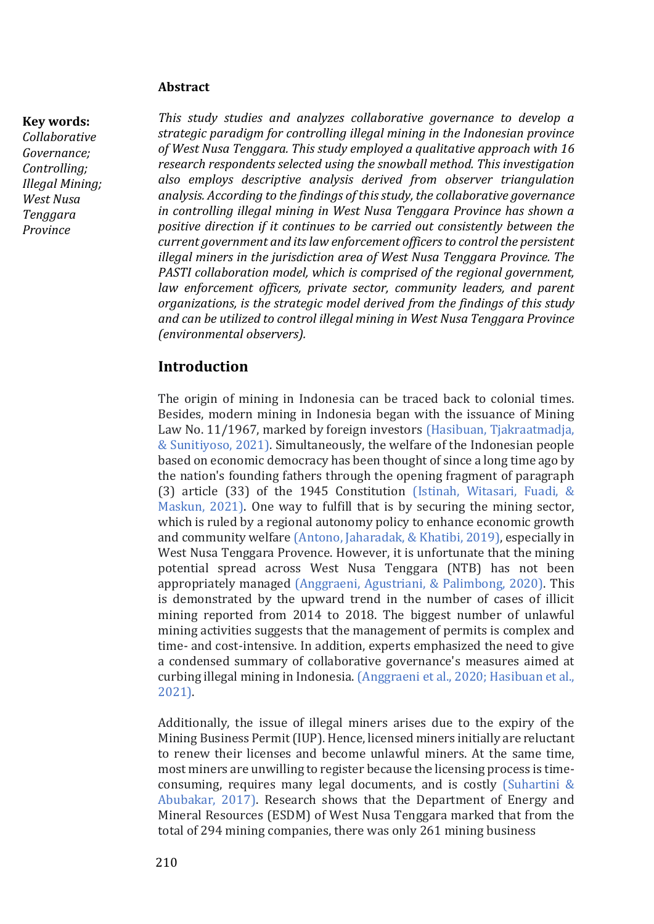#### **Abstract**

#### **Key words:**

*Collaborative Governance; Controlling; Illegal Mining; West Nusa Tenggara Province*

*This study studies and analyzes collaborative governance to develop a strategic paradigm for controlling illegal mining in the Indonesian province of West Nusa Tenggara. This study employed a qualitative approach with 16 research respondents selected using the snowball method. This investigation also employs descriptive analysis derived from observer triangulation analysis. According to the findings of this study, the collaborative governance in controlling illegal mining in West Nusa Tenggara Province has shown a positive direction if it continues to be carried out consistently between the current government and its law enforcement officers to control the persistent illegal miners in the jurisdiction area of West Nusa Tenggara Province. The PASTI collaboration model, which is comprised of the regional government,*  law enforcement officers, private sector, community leaders, and parent *organizations, is the strategic model derived from the findings of this study and can be utilized to control illegal mining in West Nusa Tenggara Province (environmental observers).*

## **Introduction**

The origin of mining in Indonesia can be traced back to colonial times. Besides, modern mining in Indonesia began with the issuance of Mining Law No. 11/1967, marked by foreign investors (Hasibuan, Tjakraatmadja, & Sunitiyoso, 2021). Simultaneously, the welfare of the Indonesian people based on economic democracy has been thought of since a long time ago by the nation's founding fathers through the opening fragment of paragraph (3) article (33) of the 1945 Constitution (Istinah, Witasari, Fuadi, & Maskun, 2021). One way to fulfill that is by securing the mining sector, which is ruled by a regional autonomy policy to enhance economic growth and community welfare (Antono, Jaharadak, & Khatibi, 2019), especially in West Nusa Tenggara Provence. However, it is unfortunate that the mining potential spread across West Nusa Tenggara (NTB) has not been appropriately managed (Anggraeni, Agustriani, & Palimbong, 2020). This is demonstrated by the upward trend in the number of cases of illicit mining reported from 2014 to 2018. The biggest number of unlawful mining activities suggests that the management of permits is complex and time- and cost-intensive. In addition, experts emphasized the need to give a condensed summary of collaborative governance's measures aimed at curbing illegal mining in Indonesia. (Anggraeni et al., 2020; Hasibuan et al., 2021).

Additionally, the issue of illegal miners arises due to the expiry of the Mining Business Permit (IUP). Hence, licensed miners initially are reluctant to renew their licenses and become unlawful miners. At the same time, most miners are unwilling to register because the licensing process is timeconsuming, requires many legal documents, and is costly (Suhartini & Abubakar, 2017). Research shows that the Department of Energy and Mineral Resources (ESDM) of West Nusa Tenggara marked that from the total of 294 mining companies, there was only 261 mining business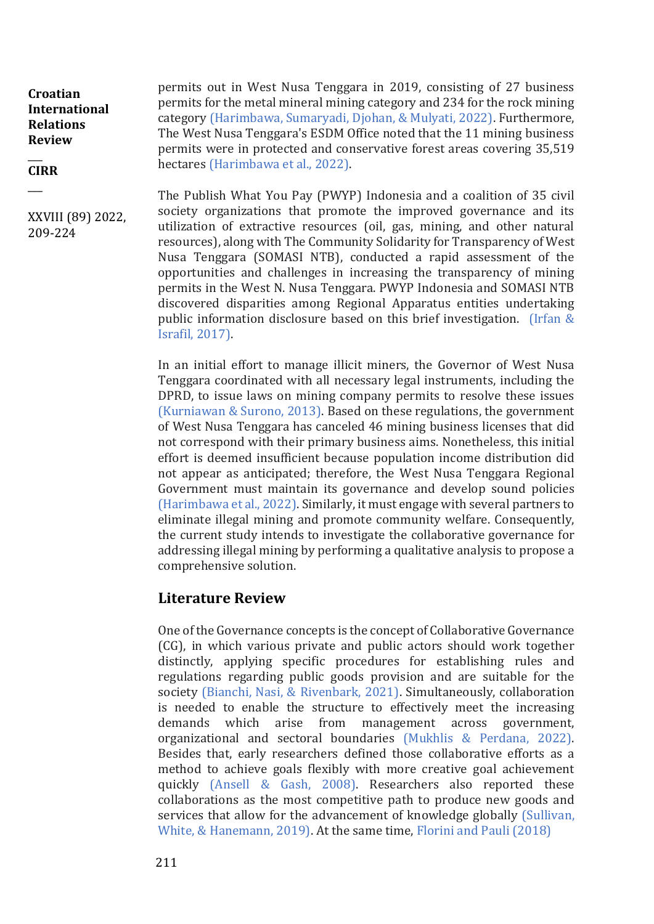#### $\overline{\phantom{a}}$ **CIRR**

 $\overline{\phantom{a}}$ 

XXVIII (89) 2022, 209-224

permits out in West Nusa Tenggara in 2019, consisting of 27 business permits for the metal mineral mining category and 234 for the rock mining category (Harimbawa, Sumaryadi, Djohan, & Mulyati, 2022). Furthermore, The West Nusa Tenggara's ESDM Office noted that the 11 mining business permits were in protected and conservative forest areas covering 35,519 hectares (Harimbawa et al., 2022).

The Publish What You Pay (PWYP) Indonesia and a coalition of 35 civil society organizations that promote the improved governance and its utilization of extractive resources (oil, gas, mining, and other natural resources), along with The Community Solidarity for Transparency of West Nusa Tenggara (SOMASI NTB), conducted a rapid assessment of the opportunities and challenges in increasing the transparency of mining permits in the West N. Nusa Tenggara. PWYP Indonesia and SOMASI NTB discovered disparities among Regional Apparatus entities undertaking public information disclosure based on this brief investigation. (Irfan & Israfil, 2017).

In an initial effort to manage illicit miners, the Governor of West Nusa Tenggara coordinated with all necessary legal instruments, including the DPRD, to issue laws on mining company permits to resolve these issues (Kurniawan & Surono, 2013). Based on these regulations, the government of West Nusa Tenggara has canceled 46 mining business licenses that did not correspond with their primary business aims. Nonetheless, this initial effort is deemed insufficient because population income distribution did not appear as anticipated; therefore, the West Nusa Tenggara Regional Government must maintain its governance and develop sound policies (Harimbawa et al., 2022). Similarly, it must engage with several partners to eliminate illegal mining and promote community welfare. Consequently, the current study intends to investigate the collaborative governance for addressing illegal mining by performing a qualitative analysis to propose a comprehensive solution.

## **Literature Review**

One of the Governance concepts is the concept of Collaborative Governance (CG), in which various private and public actors should work together distinctly, applying specific procedures for establishing rules and regulations regarding public goods provision and are suitable for the society (Bianchi, Nasi, & Rivenbark, 2021). Simultaneously, collaboration is needed to enable the structure to effectively meet the increasing demands which arise from management across government, organizational and sectoral boundaries (Mukhlis & Perdana, 2022). Besides that, early researchers defined those collaborative efforts as a method to achieve goals flexibly with more creative goal achievement quickly (Ansell & Gash, 2008). Researchers also reported these collaborations as the most competitive path to produce new goods and services that allow for the advancement of knowledge globally (Sullivan, White, & Hanemann, 2019). At the same time, Florini and Pauli (2018)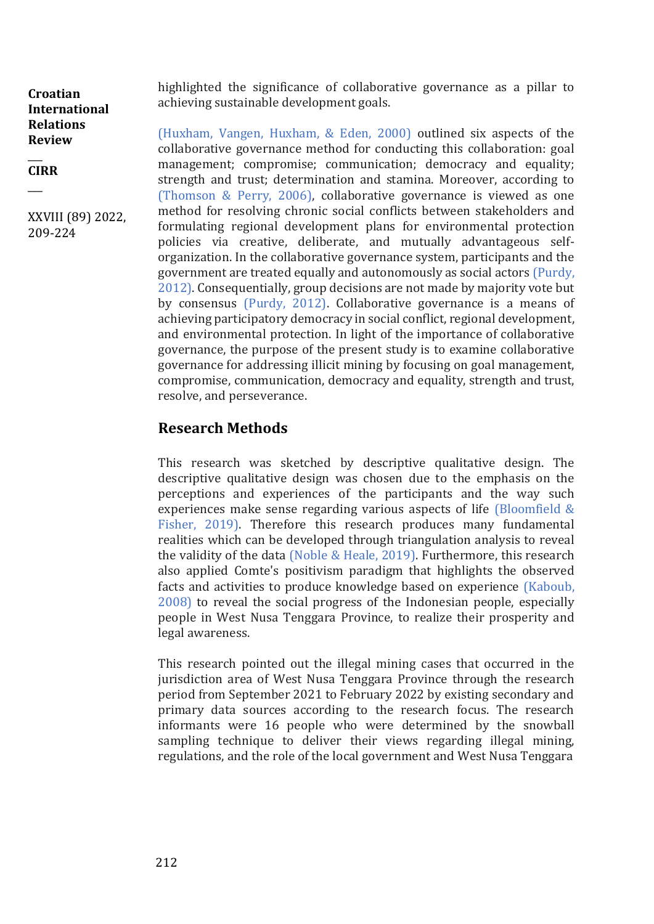$\overline{\phantom{a}}$ **CIRR**

 $\overline{\phantom{a}}$ 

XXVIII (89) 2022, 209-224

highlighted the significance of collaborative governance as a pillar to achieving sustainable development goals.

(Huxham, Vangen, Huxham, & Eden, 2000) outlined six aspects of the collaborative governance method for conducting this collaboration: goal management; compromise; communication; democracy and equality; strength and trust; determination and stamina. Moreover, according to (Thomson & Perry, 2006), collaborative governance is viewed as one method for resolving chronic social conflicts between stakeholders and formulating regional development plans for environmental protection policies via creative, deliberate, and mutually advantageous selforganization. In the collaborative governance system, participants and the government are treated equally and autonomously as social actors (Purdy, 2012). Consequentially, group decisions are not made by majority vote but by consensus (Purdy, 2012). Collaborative governance is a means of achieving participatory democracy in social conflict, regional development, and environmental protection. In light of the importance of collaborative governance, the purpose of the present study is to examine collaborative governance for addressing illicit mining by focusing on goal management, compromise, communication, democracy and equality, strength and trust, resolve, and perseverance.

## **Research Methods**

This research was sketched by descriptive qualitative design. The descriptive qualitative design was chosen due to the emphasis on the perceptions and experiences of the participants and the way such experiences make sense regarding various aspects of life (Bloomfield & Fisher, 2019). Therefore this research produces many fundamental realities which can be developed through triangulation analysis to reveal the validity of the data (Noble & Heale, 2019). Furthermore, this research also applied Comte's positivism paradigm that highlights the observed facts and activities to produce knowledge based on experience (Kaboub, 2008) to reveal the social progress of the Indonesian people, especially people in West Nusa Tenggara Province, to realize their prosperity and legal awareness.

This research pointed out the illegal mining cases that occurred in the jurisdiction area of West Nusa Tenggara Province through the research period from September 2021 to February 2022 by existing secondary and primary data sources according to the research focus. The research informants were 16 people who were determined by the snowball sampling technique to deliver their views regarding illegal mining, regulations, and the role of the local government and West Nusa Tenggara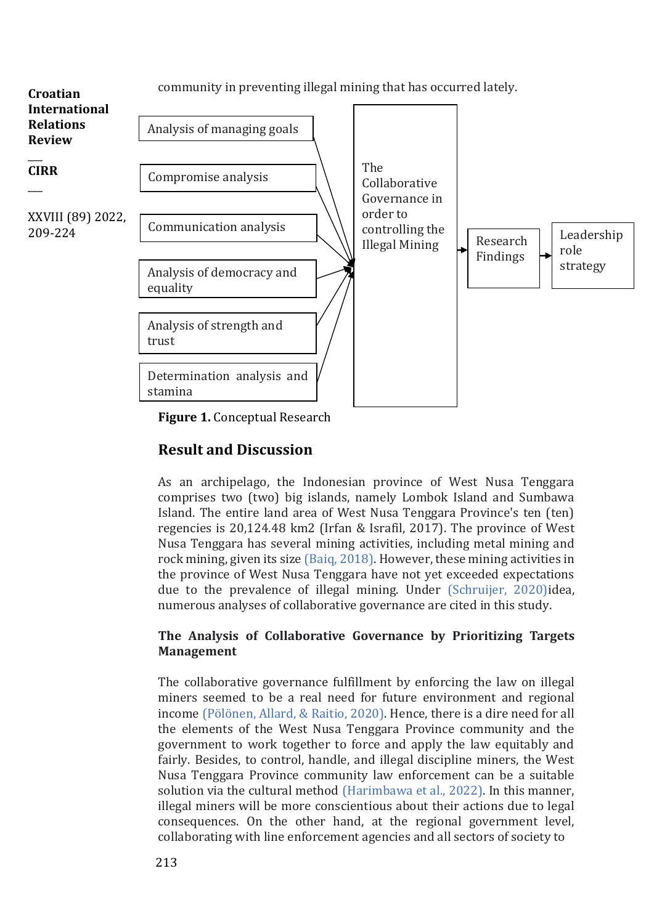

**Figure 1.** Conceptual Research

## **Result and Discussion**

As an archipelago, the Indonesian province of West Nusa Tenggara comprises two (two) big islands, namely Lombok Island and Sumbawa Island. The entire land area of West Nusa Tenggara Province's ten (ten) regencies is 20,124.48 km2 (Irfan & Israfil, 2017). The province of West Nusa Tenggara has several mining activities, including metal mining and rock mining, given its size (Baiq, 2018). However, these mining activities in the province of West Nusa Tenggara have not yet exceeded expectations due to the prevalence of illegal mining. Under (Schruijer, 2020)idea, numerous analyses of collaborative governance are cited in this study.

## **The Analysis of Collaborative Governance by Prioritizing Targets Management**

The collaborative governance fulfillment by enforcing the law on illegal miners seemed to be a real need for future environment and regional income (Pölönen, Allard, & Raitio, 2020). Hence, there is a dire need for all the elements of the West Nusa Tenggara Province community and the government to work together to force and apply the law equitably and fairly. Besides, to control, handle, and illegal discipline miners, the West Nusa Tenggara Province community law enforcement can be a suitable solution via the cultural method (Harimbawa et al., 2022). In this manner, illegal miners will be more conscientious about their actions due to legal consequences. On the other hand, at the regional government level, collaborating with line enforcement agencies and all sectors of society to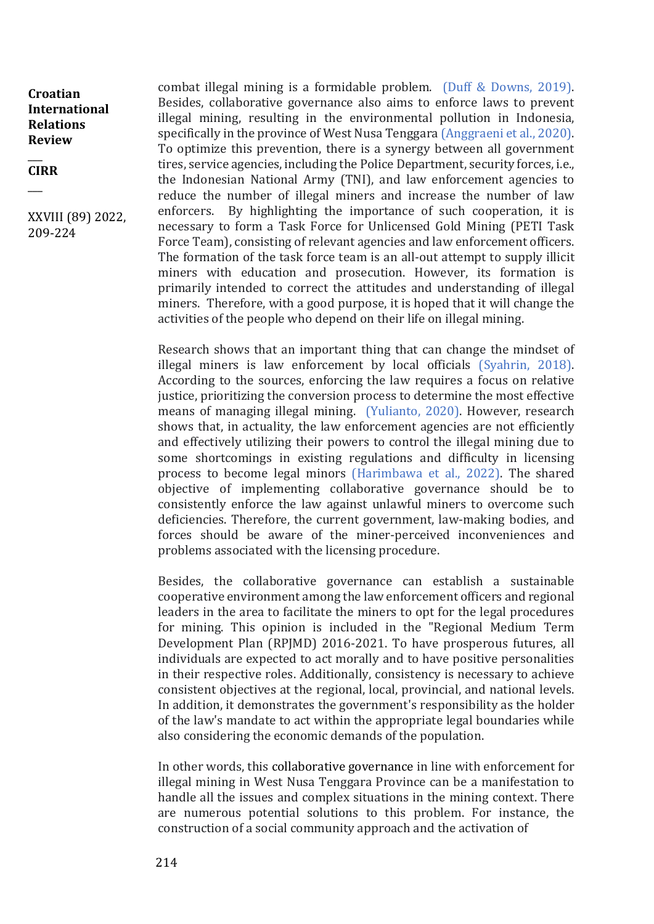$\overline{\phantom{a}}$ **CIRR**

 $\overline{\phantom{a}}$ 

XXVIII (89) 2022, 209-224

combat illegal mining is a formidable problem. (Duff & Downs, 2019). Besides, collaborative governance also aims to enforce laws to prevent illegal mining, resulting in the environmental pollution in Indonesia, specifically in the province of West Nusa Tenggara (Anggraeni et al., 2020). To optimize this prevention, there is a synergy between all government tires, service agencies, including the Police Department, security forces, i.e., the Indonesian National Army (TNI), and law enforcement agencies to reduce the number of illegal miners and increase the number of law enforcers. By highlighting the importance of such cooperation, it is necessary to form a Task Force for Unlicensed Gold Mining (PETI Task Force Team), consisting of relevant agencies and law enforcement officers. The formation of the task force team is an all-out attempt to supply illicit miners with education and prosecution. However, its formation is primarily intended to correct the attitudes and understanding of illegal miners. Therefore, with a good purpose, it is hoped that it will change the activities of the people who depend on their life on illegal mining.

Research shows that an important thing that can change the mindset of illegal miners is law enforcement by local officials (Syahrin, 2018). According to the sources, enforcing the law requires a focus on relative justice, prioritizing the conversion process to determine the most effective means of managing illegal mining. (Yulianto, 2020). However, research shows that, in actuality, the law enforcement agencies are not efficiently and effectively utilizing their powers to control the illegal mining due to some shortcomings in existing regulations and difficulty in licensing process to become legal minors (Harimbawa et al., 2022). The shared objective of implementing collaborative governance should be to consistently enforce the law against unlawful miners to overcome such deficiencies. Therefore, the current government, law-making bodies, and forces should be aware of the miner-perceived inconveniences and problems associated with the licensing procedure.

Besides, the collaborative governance can establish a sustainable cooperative environment among the law enforcement officers and regional leaders in the area to facilitate the miners to opt for the legal procedures for mining. This opinion is included in the "Regional Medium Term Development Plan (RPJMD) 2016-2021. To have prosperous futures, all individuals are expected to act morally and to have positive personalities in their respective roles. Additionally, consistency is necessary to achieve consistent objectives at the regional, local, provincial, and national levels. In addition, it demonstrates the government's responsibility as the holder of the law's mandate to act within the appropriate legal boundaries while also considering the economic demands of the population.

In other words, this collaborative governance in line with enforcement for illegal mining in West Nusa Tenggara Province can be a manifestation to handle all the issues and complex situations in the mining context. There are numerous potential solutions to this problem. For instance, the construction of a social community approach and the activation of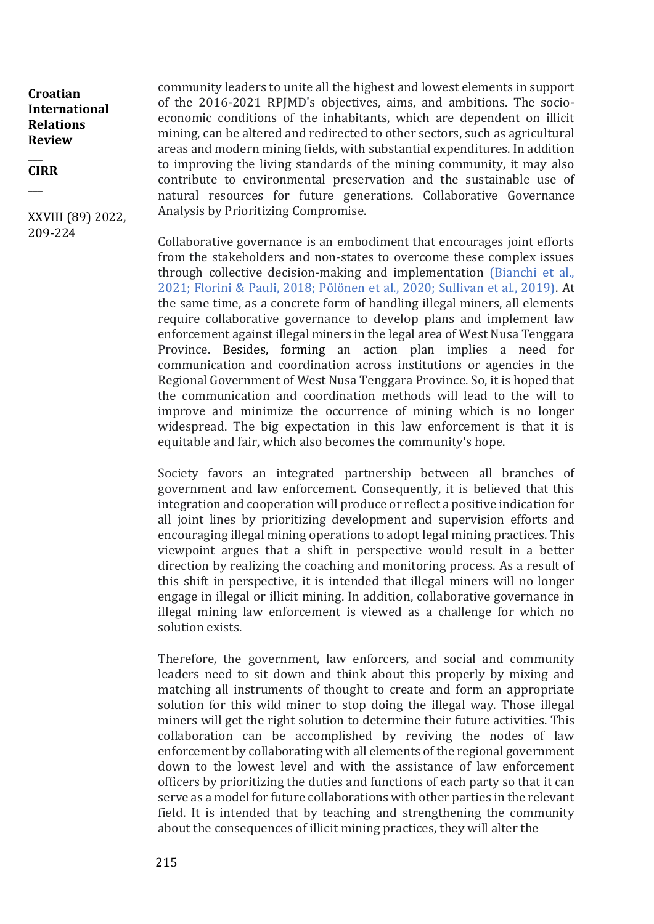#### $\overline{\phantom{a}}$ **CIRR**

 $\overline{\phantom{a}}$ 

XXVIII (89) 2022, 209-224

community leaders to unite all the highest and lowest elements in support of the 2016-2021 RPJMD's objectives, aims, and ambitions. The socioeconomic conditions of the inhabitants, which are dependent on illicit mining, can be altered and redirected to other sectors, such as agricultural areas and modern mining fields, with substantial expenditures. In addition to improving the living standards of the mining community, it may also contribute to environmental preservation and the sustainable use of natural resources for future generations. Collaborative Governance Analysis by Prioritizing Compromise.

Collaborative governance is an embodiment that encourages joint efforts from the stakeholders and non-states to overcome these complex issues through collective decision-making and implementation (Bianchi et al., 2021; Florini & Pauli, 2018; Pölönen et al., 2020; Sullivan et al., 2019). At the same time, as a concrete form of handling illegal miners, all elements require collaborative governance to develop plans and implement law enforcement against illegal miners in the legal area of West Nusa Tenggara Province. Besides, forming an action plan implies a need for communication and coordination across institutions or agencies in the Regional Government of West Nusa Tenggara Province. So, it is hoped that the communication and coordination methods will lead to the will to improve and minimize the occurrence of mining which is no longer widespread. The big expectation in this law enforcement is that it is equitable and fair, which also becomes the community's hope.

Society favors an integrated partnership between all branches of government and law enforcement. Consequently, it is believed that this integration and cooperation will produce or reflect a positive indication for all joint lines by prioritizing development and supervision efforts and encouraging illegal mining operations to adopt legal mining practices. This viewpoint argues that a shift in perspective would result in a better direction by realizing the coaching and monitoring process. As a result of this shift in perspective, it is intended that illegal miners will no longer engage in illegal or illicit mining. In addition, collaborative governance in illegal mining law enforcement is viewed as a challenge for which no solution exists.

Therefore, the government, law enforcers, and social and community leaders need to sit down and think about this properly by mixing and matching all instruments of thought to create and form an appropriate solution for this wild miner to stop doing the illegal way. Those illegal miners will get the right solution to determine their future activities. This collaboration can be accomplished by reviving the nodes of law enforcement by collaborating with all elements of the regional government down to the lowest level and with the assistance of law enforcement officers by prioritizing the duties and functions of each party so that it can serve as a model for future collaborations with other parties in the relevant field. It is intended that by teaching and strengthening the community about the consequences of illicit mining practices, they will alter the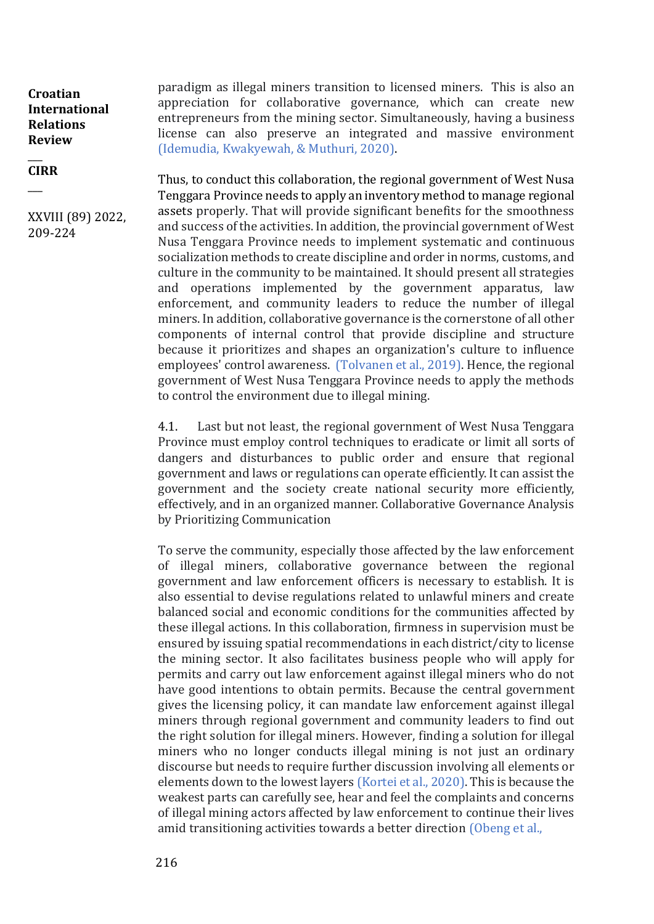$\overline{\phantom{a}}$ **CIRR**

 $\overline{\phantom{a}}$ 

XXVIII (89) 2022, 209-224

paradigm as illegal miners transition to licensed miners. This is also an appreciation for collaborative governance, which can create new entrepreneurs from the mining sector. Simultaneously, having a business license can also preserve an integrated and massive environment (Idemudia, Kwakyewah, & Muthuri, 2020).

Thus, to conduct this collaboration, the regional government of West Nusa Tenggara Province needs to apply an inventory method to manage regional assets properly. That will provide significant benefits for the smoothness and success of the activities. In addition, the provincial government of West Nusa Tenggara Province needs to implement systematic and continuous socialization methods to create discipline and order in norms, customs, and culture in the community to be maintained. It should present all strategies and operations implemented by the government apparatus, law enforcement, and community leaders to reduce the number of illegal miners. In addition, collaborative governance is the cornerstone of all other components of internal control that provide discipline and structure because it prioritizes and shapes an organization's culture to influence employees' control awareness. (Tolvanen et al., 2019). Hence, the regional government of West Nusa Tenggara Province needs to apply the methods to control the environment due to illegal mining.

4.1. Last but not least, the regional government of West Nusa Tenggara Province must employ control techniques to eradicate or limit all sorts of dangers and disturbances to public order and ensure that regional government and laws or regulations can operate efficiently. It can assist the government and the society create national security more efficiently, effectively, and in an organized manner. Collaborative Governance Analysis by Prioritizing Communication

To serve the community, especially those affected by the law enforcement of illegal miners, collaborative governance between the regional government and law enforcement officers is necessary to establish. It is also essential to devise regulations related to unlawful miners and create balanced social and economic conditions for the communities affected by these illegal actions. In this collaboration, firmness in supervision must be ensured by issuing spatial recommendations in each district/city to license the mining sector. It also facilitates business people who will apply for permits and carry out law enforcement against illegal miners who do not have good intentions to obtain permits. Because the central government gives the licensing policy, it can mandate law enforcement against illegal miners through regional government and community leaders to find out the right solution for illegal miners. However, finding a solution for illegal miners who no longer conducts illegal mining is not just an ordinary discourse but needs to require further discussion involving all elements or elements down to the lowest layers (Kortei et al., 2020). This is because the weakest parts can carefully see, hear and feel the complaints and concerns of illegal mining actors affected by law enforcement to continue their lives amid transitioning activities towards a better direction (Obeng et al.,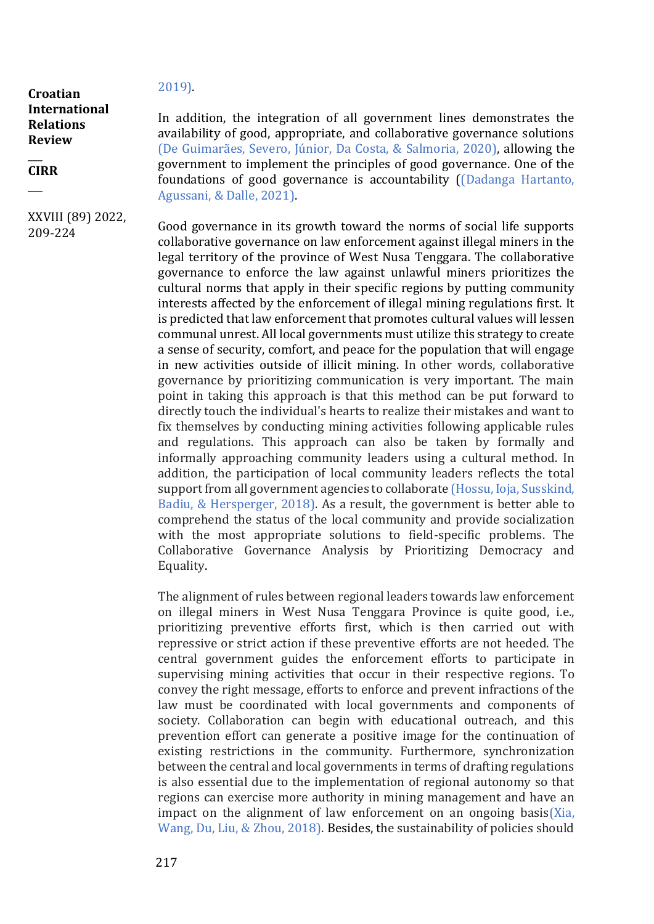#### $\overline{\phantom{a}}$ **CIRR**

 $\overline{\phantom{a}}$ 

### XXVIII (89) 2022, 209-224

2019).

In addition, the integration of all government lines demonstrates the availability of good, appropriate, and collaborative governance solutions (De Guimarães, Severo, Júnior, Da Costa, & Salmoria, 2020), allowing the government to implement the principles of good governance. One of the foundations of good governance is accountability ((Dadanga Hartanto, Agussani, & Dalle, 2021).

Good governance in its growth toward the norms of social life supports collaborative governance on law enforcement against illegal miners in the legal territory of the province of West Nusa Tenggara. The collaborative governance to enforce the law against unlawful miners prioritizes the cultural norms that apply in their specific regions by putting community interests affected by the enforcement of illegal mining regulations first. It is predicted that law enforcement that promotes cultural values will lessen communal unrest. All local governments must utilize this strategy to create a sense of security, comfort, and peace for the population that will engage in new activities outside of illicit mining. In other words, collaborative governance by prioritizing communication is very important. The main point in taking this approach is that this method can be put forward to directly touch the individual's hearts to realize their mistakes and want to fix themselves by conducting mining activities following applicable rules and regulations. This approach can also be taken by formally and informally approaching community leaders using a cultural method. In addition, the participation of local community leaders reflects the total support from all government agencies to collaborate (Hossu, Ioja, Susskind, Badiu, & Hersperger, 2018). As a result, the government is better able to comprehend the status of the local community and provide socialization with the most appropriate solutions to field-specific problems. The Collaborative Governance Analysis by Prioritizing Democracy and Equality.

The alignment of rules between regional leaders towards law enforcement on illegal miners in West Nusa Tenggara Province is quite good, i.e., prioritizing preventive efforts first, which is then carried out with repressive or strict action if these preventive efforts are not heeded. The central government guides the enforcement efforts to participate in supervising mining activities that occur in their respective regions. To convey the right message, efforts to enforce and prevent infractions of the law must be coordinated with local governments and components of society. Collaboration can begin with educational outreach, and this prevention effort can generate a positive image for the continuation of existing restrictions in the community. Furthermore, synchronization between the central and local governments in terms of drafting regulations is also essential due to the implementation of regional autonomy so that regions can exercise more authority in mining management and have an impact on the alignment of law enforcement on an ongoing basis( $X$ ia, Wang, Du, Liu, & Zhou, 2018). Besides, the sustainability of policies should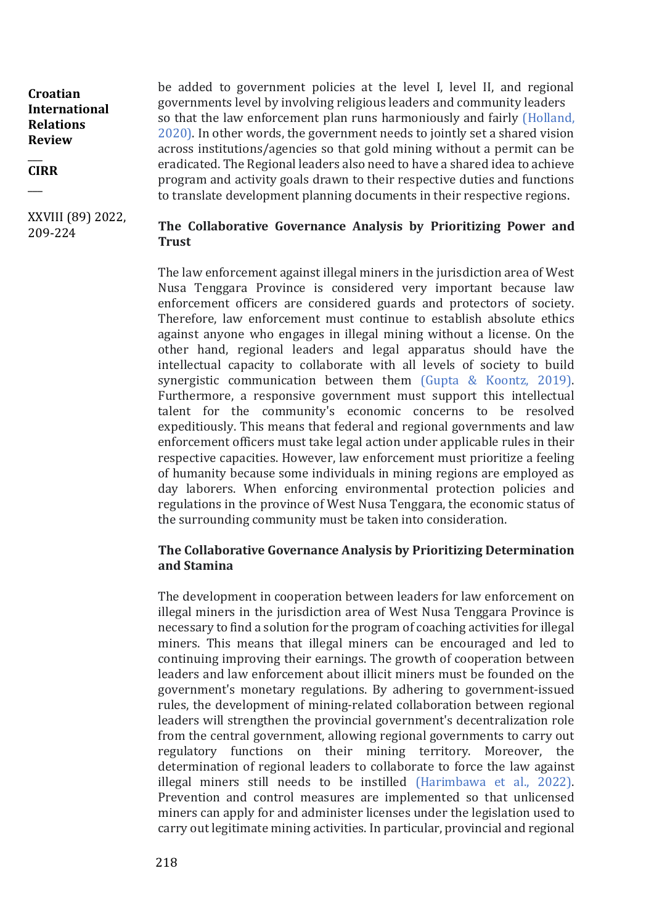$\overline{\phantom{a}}$ **CIRR**

 $\overline{\phantom{a}}$ 

XXVIII (89) 2022, 209-224

be added to government policies at the level I, level II, and regional governments level by involving religious leaders and community leaders so that the law enforcement plan runs harmoniously and fairly (Holland, 2020). In other words, the government needs to jointly set a shared vision across institutions/agencies so that gold mining without a permit can be eradicated. The Regional leaders also need to have a shared idea to achieve program and activity goals drawn to their respective duties and functions to translate development planning documents in their respective regions.

## **The Collaborative Governance Analysis by Prioritizing Power and Trust**

The law enforcement against illegal miners in the jurisdiction area of West Nusa Tenggara Province is considered very important because law enforcement officers are considered guards and protectors of society. Therefore, law enforcement must continue to establish absolute ethics against anyone who engages in illegal mining without a license. On the other hand, regional leaders and legal apparatus should have the intellectual capacity to collaborate with all levels of society to build synergistic communication between them (Gupta & Koontz, 2019). Furthermore, a responsive government must support this intellectual talent for the community's economic concerns to be resolved expeditiously. This means that federal and regional governments and law enforcement officers must take legal action under applicable rules in their respective capacities. However, law enforcement must prioritize a feeling of humanity because some individuals in mining regions are employed as day laborers. When enforcing environmental protection policies and regulations in the province of West Nusa Tenggara, the economic status of the surrounding community must be taken into consideration.

## **The Collaborative Governance Analysis by Prioritizing Determination and Stamina**

The development in cooperation between leaders for law enforcement on illegal miners in the jurisdiction area of West Nusa Tenggara Province is necessary to find a solution for the program of coaching activities for illegal miners. This means that illegal miners can be encouraged and led to continuing improving their earnings. The growth of cooperation between leaders and law enforcement about illicit miners must be founded on the government's monetary regulations. By adhering to government-issued rules, the development of mining-related collaboration between regional leaders will strengthen the provincial government's decentralization role from the central government, allowing regional governments to carry out regulatory functions on their mining territory. Moreover, the determination of regional leaders to collaborate to force the law against illegal miners still needs to be instilled (Harimbawa et al., 2022). Prevention and control measures are implemented so that unlicensed miners can apply for and administer licenses under the legislation used to carry out legitimate mining activities. In particular, provincial and regional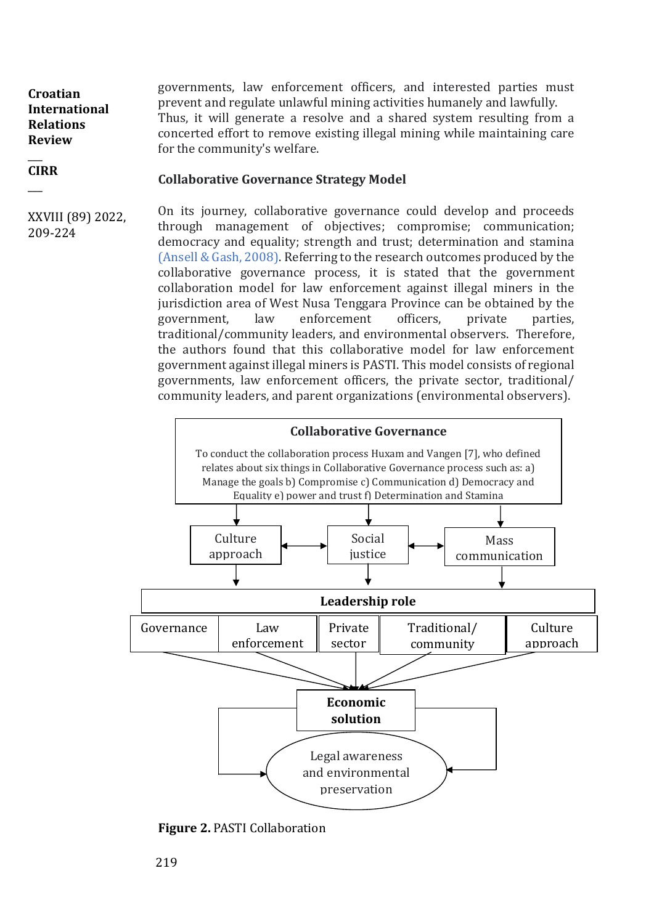governments, law enforcement officers, and interested parties must prevent and regulate unlawful mining activities humanely and lawfully. Thus, it will generate a resolve and a shared system resulting from a concerted effort to remove existing illegal mining while maintaining care for the community's welfare. **Croatian International Relations Review**   $\overline{\phantom{a}}$ 

#### **Collaborative Governance Strategy Model**

XXVIII (89) 2022, 209-224

**CIRR**  $\overline{\phantom{a}}$ 

> On its journey, collaborative governance could develop and proceeds through management of objectives; compromise; communication; democracy and equality; strength and trust; determination and stamina (Ansell & Gash, 2008). Referring to the research outcomes produced by the collaborative governance process, it is stated that the government collaboration model for law enforcement against illegal miners in the jurisdiction area of West Nusa Tenggara Province can be obtained by the government, law enforcement officers, private parties, traditional/community leaders, and environmental observers. Therefore, the authors found that this collaborative model for law enforcement government against illegal miners is PASTI. This model consists of regional governments, law enforcement officers, the private sector, traditional/ community leaders, and parent organizations (environmental observers).



**Figure 2.** PASTI Collaboration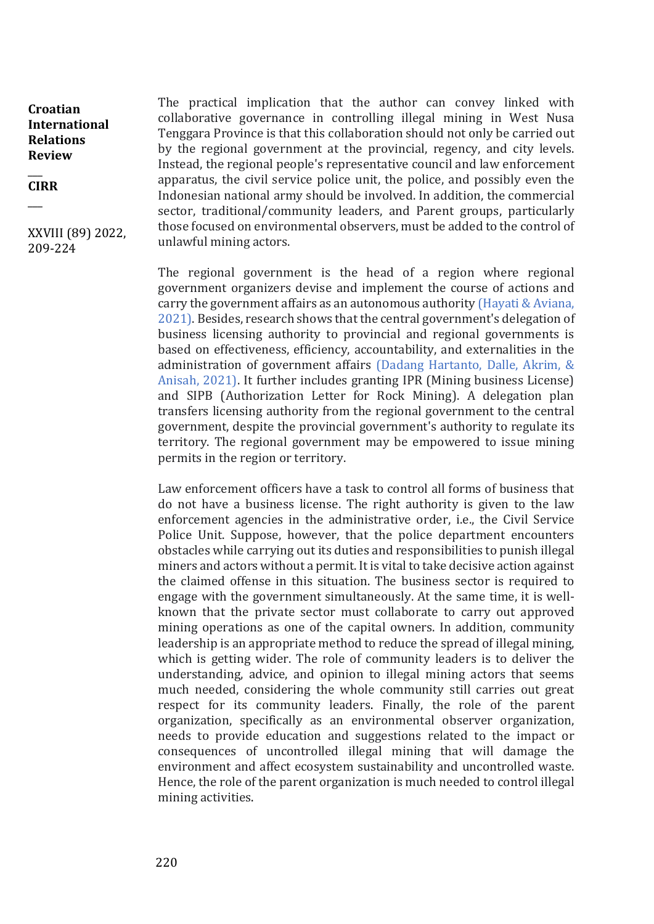#### $\overline{\phantom{a}}$ **CIRR**  $\overline{\phantom{a}}$

XXVIII (89) 2022, 209-224

The practical implication that the author can convey linked with collaborative governance in controlling illegal mining in West Nusa Tenggara Province is that this collaboration should not only be carried out by the regional government at the provincial, regency, and city levels. Instead, the regional people's representative council and law enforcement apparatus, the civil service police unit, the police, and possibly even the Indonesian national army should be involved. In addition, the commercial sector, traditional/community leaders, and Parent groups, particularly those focused on environmental observers, must be added to the control of unlawful mining actors.

The regional government is the head of a region where regional government organizers devise and implement the course of actions and carry the government affairs as an autonomous authority (Hayati & Aviana, 2021). Besides, research shows that the central government's delegation of business licensing authority to provincial and regional governments is based on effectiveness, efficiency, accountability, and externalities in the administration of government affairs (Dadang Hartanto, Dalle, Akrim, & Anisah, 2021). It further includes granting IPR (Mining business License) and SIPB (Authorization Letter for Rock Mining). A delegation plan transfers licensing authority from the regional government to the central government, despite the provincial government's authority to regulate its territory. The regional government may be empowered to issue mining permits in the region or territory.

Law enforcement officers have a task to control all forms of business that do not have a business license. The right authority is given to the law enforcement agencies in the administrative order, i.e., the Civil Service Police Unit. Suppose, however, that the police department encounters obstacles while carrying out its duties and responsibilities to punish illegal miners and actors without a permit. It is vital to take decisive action against the claimed offense in this situation. The business sector is required to engage with the government simultaneously. At the same time, it is wellknown that the private sector must collaborate to carry out approved mining operations as one of the capital owners. In addition, community leadership is an appropriate method to reduce the spread of illegal mining, which is getting wider. The role of community leaders is to deliver the understanding, advice, and opinion to illegal mining actors that seems much needed, considering the whole community still carries out great respect for its community leaders. Finally, the role of the parent organization, specifically as an environmental observer organization, needs to provide education and suggestions related to the impact or consequences of uncontrolled illegal mining that will damage the environment and affect ecosystem sustainability and uncontrolled waste. Hence, the role of the parent organization is much needed to control illegal mining activities.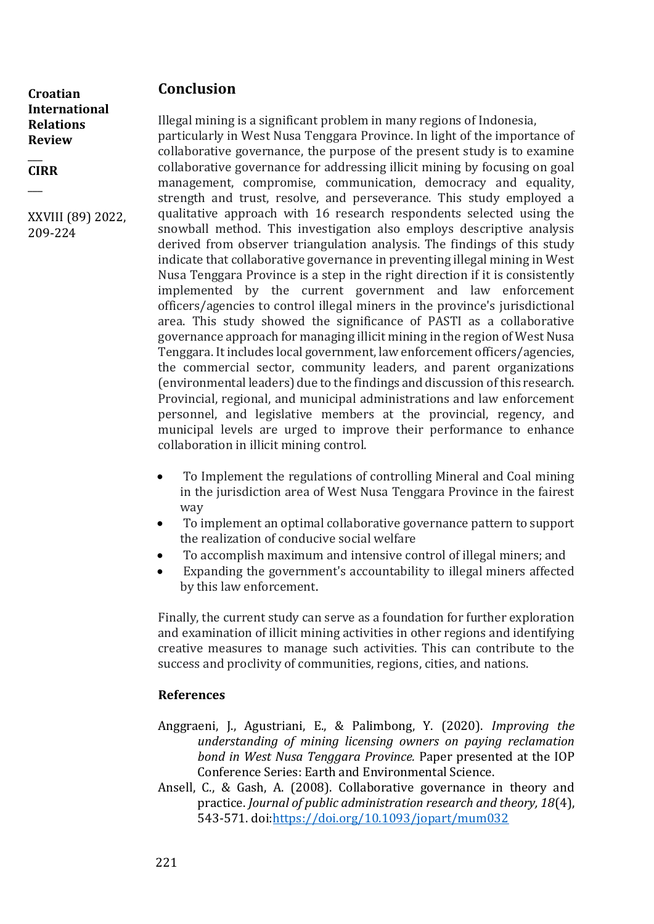## **Conclusion**

**Croatian International Relations Review** 

 $\overline{\phantom{a}}$ **CIRR**

 $\overline{\phantom{a}}$ 

XXVIII (89) 2022, 209-224

Illegal mining is a significant problem in many regions of Indonesia, particularly in West Nusa Tenggara Province. In light of the importance of collaborative governance, the purpose of the present study is to examine collaborative governance for addressing illicit mining by focusing on goal management, compromise, communication, democracy and equality, strength and trust, resolve, and perseverance. This study employed a qualitative approach with 16 research respondents selected using the snowball method. This investigation also employs descriptive analysis derived from observer triangulation analysis. The findings of this study indicate that collaborative governance in preventing illegal mining in West Nusa Tenggara Province is a step in the right direction if it is consistently implemented by the current government and law enforcement officers/agencies to control illegal miners in the province's jurisdictional area. This study showed the significance of PASTI as a collaborative governance approach for managing illicit mining in the region of West Nusa Tenggara. It includes local government, law enforcement officers/agencies, the commercial sector, community leaders, and parent organizations (environmental leaders) due to the findings and discussion of this research. Provincial, regional, and municipal administrations and law enforcement personnel, and legislative members at the provincial, regency, and municipal levels are urged to improve their performance to enhance collaboration in illicit mining control.

- To Implement the regulations of controlling Mineral and Coal mining in the jurisdiction area of West Nusa Tenggara Province in the fairest way
- To implement an optimal collaborative governance pattern to support the realization of conducive social welfare
- To accomplish maximum and intensive control of illegal miners; and
- Expanding the government's accountability to illegal miners affected by this law enforcement.

Finally, the current study can serve as a foundation for further exploration and examination of illicit mining activities in other regions and identifying creative measures to manage such activities. This can contribute to the success and proclivity of communities, regions, cities, and nations.

### **References**

- Anggraeni, J., Agustriani, E., & Palimbong, Y. (2020). *Improving the understanding of mining licensing owners on paying reclamation bond in West Nusa Tenggara Province.* Paper presented at the IOP Conference Series: Earth and Environmental Science.
- Ansell, C., & Gash, A. (2008). Collaborative governance in theory and practice. *Journal of public administration research and theory, 18*(4), 543-571. doi[:https://doi.org/10.1093/jopart/mum032](https://doi.org/10.1093/jopart/mum032)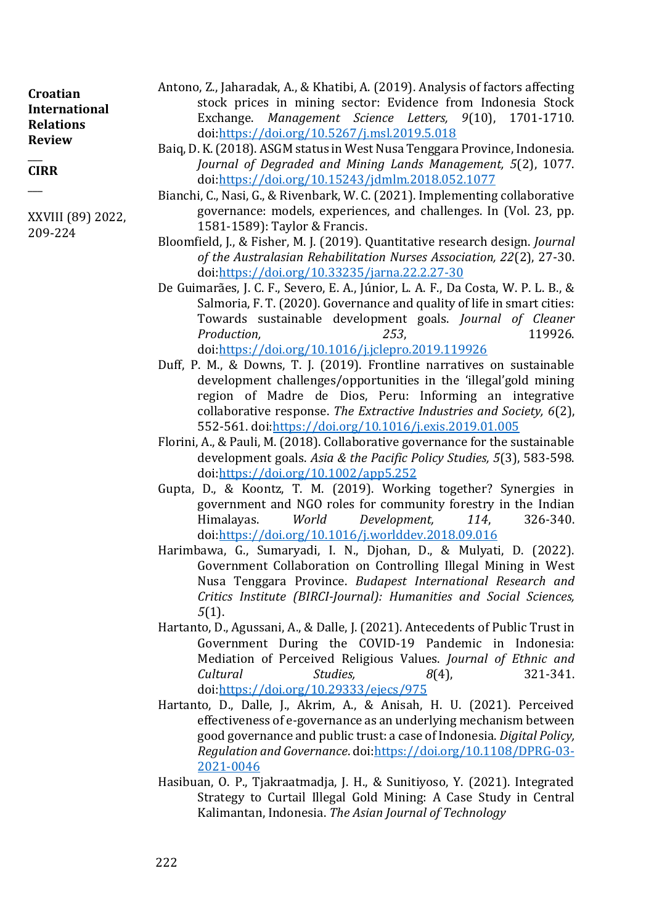| <b>Croatian</b>  |
|------------------|
| International    |
| <b>Relations</b> |
| <b>Review</b>    |

#### $\overline{\phantom{a}}$ **CIRR**

 $\overline{\phantom{a}}$ 

XXVIII (89) 2022, 209-224

- Antono, Z., Jaharadak, A., & Khatibi, A. (2019). Analysis of factors affecting stock prices in mining sector: Evidence from Indonesia Stock Exchange. *Management Science Letters, 9*(10), 1701-1710. doi[:https://doi.org/10.5267/j.msl.2019.5.018](https://doi.org/10.5267/j.msl.2019.5.018)
- Baiq, D. K. (2018). ASGM status in West Nusa Tenggara Province, Indonesia. *Journal of Degraded and Mining Lands Management, 5*(2), 1077. doi[:https://doi.org/10.15243/jdmlm.2018.052.1077](https://doi.org/10.15243/jdmlm.2018.052.1077)
- Bianchi, C., Nasi, G., & Rivenbark, W. C. (2021). Implementing collaborative governance: models, experiences, and challenges. In (Vol. 23, pp. 1581-1589): Taylor & Francis.
- Bloomfield, J., & Fisher, M. J. (2019). Quantitative research design. *Journal of the Australasian Rehabilitation Nurses Association, 22*(2), 27-30. doi[:https://doi.org/10.33235/jarna.22.2.27-30](https://doi.org/10.33235/jarna.22.2.27-30)
- De Guimarães, J. C. F., Severo, E. A., Júnior, L. A. F., Da Costa, W. P. L. B., & Salmoria, F. T. (2020). Governance and quality of life in smart cities: Towards sustainable development goals. *Journal of Cleaner Production, 253*, 119926. doi[:https://doi.org/10.1016/j.jclepro.2019.119926](https://doi.org/10.1016/j.jclepro.2019.119926)
- Duff, P. M., & Downs, T. J. (2019). Frontline narratives on sustainable development challenges/opportunities in the 'illegal'gold mining region of Madre de Dios, Peru: Informing an integrative collaborative response. *The Extractive Industries and Society, 6*(2), 552-561. doi[:https://doi.org/10.1016/j.exis.2019.01.005](https://doi.org/10.1016/j.exis.2019.01.005)
- Florini, A., & Pauli, M. (2018). Collaborative governance for the sustainable development goals. *Asia & the Pacific Policy Studies, 5*(3), 583-598. doi[:https://doi.org/10.1002/app5.252](https://doi.org/10.1002/app5.252)
- Gupta, D., & Koontz, T. M. (2019). Working together? Synergies in government and NGO roles for community forestry in the Indian Himalayas. *World Development, 114*, 326-340. doi[:https://doi.org/10.1016/j.worlddev.2018.09.016](https://doi.org/10.1016/j.worlddev.2018.09.016)
- Harimbawa, G., Sumaryadi, I. N., Djohan, D., & Mulyati, D. (2022). Government Collaboration on Controlling Illegal Mining in West Nusa Tenggara Province. *Budapest International Research and Critics Institute (BIRCI-Journal): Humanities and Social Sciences, 5*(1).
- Hartanto, D., Agussani, A., & Dalle, J. (2021). Antecedents of Public Trust in Government During the COVID-19 Pandemic in Indonesia: Mediation of Perceived Religious Values. *Journal of Ethnic and Cultural Studies, 8*(4), 321-341. doi[:https://doi.org/10.29333/ejecs/975](https://doi.org/10.29333/ejecs/975)
- Hartanto, D., Dalle, J., Akrim, A., & Anisah, H. U. (2021). Perceived effectiveness of e-governance as an underlying mechanism between good governance and public trust: a case of Indonesia. *Digital Policy, Regulation and Governance*. doi[:https://doi.org/10.1108/DPRG-03-](https://doi.org/10.1108/DPRG-03-2021-0046) [2021-0046](https://doi.org/10.1108/DPRG-03-2021-0046)
- Hasibuan, O. P., Tjakraatmadja, J. H., & Sunitiyoso, Y. (2021). Integrated Strategy to Curtail Illegal Gold Mining: A Case Study in Central Kalimantan, Indonesia. *The Asian Journal of Technology*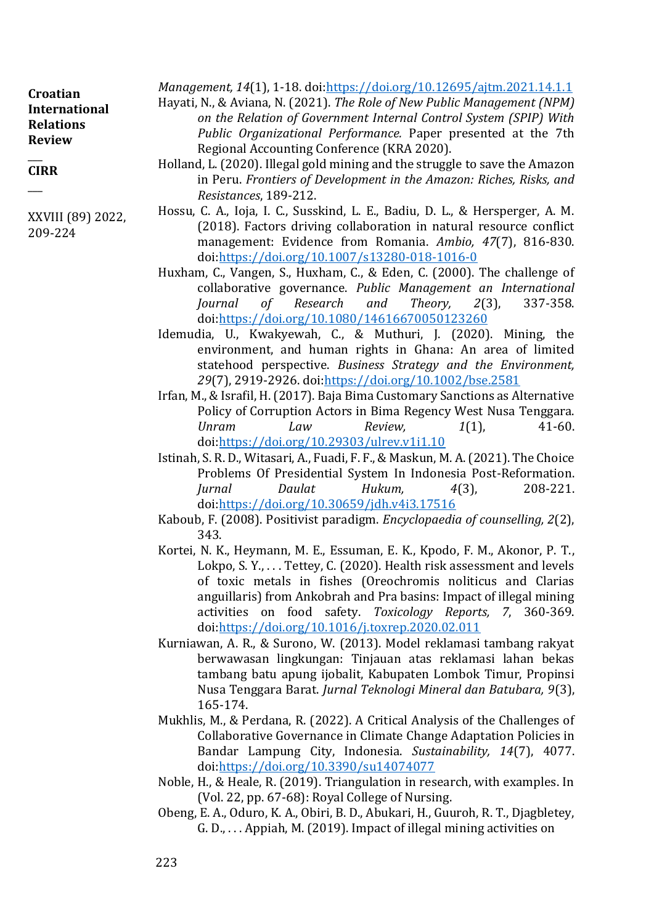| Croatian<br><b>International</b><br><b>Relations</b><br><b>Review</b> | Management, 14(1), 1-18. doi:https://doi.org/10.12695/ajtm.2021.14.1.1<br>Hayati, N., & Aviana, N. (2021). The Role of New Public Management (NPM)<br>on the Relation of Government Internal Control System (SPIP) With<br>Public Organizational Performance. Paper presented at the 7th |
|-----------------------------------------------------------------------|------------------------------------------------------------------------------------------------------------------------------------------------------------------------------------------------------------------------------------------------------------------------------------------|
| <b>CIRR</b>                                                           | Regional Accounting Conference (KRA 2020).<br>Holland, L. (2020). Illegal gold mining and the struggle to save the Amazon                                                                                                                                                                |
|                                                                       | in Peru. Frontiers of Development in the Amazon: Riches, Risks, and<br>Resistances, 189-212.                                                                                                                                                                                             |

- Hossu, C. A., Ioja, I. C., Susskind, L. E., Badiu, D. L., & Hersperger, A. M. (2018). Factors driving collaboration in natural resource conflict management: Evidence from Romania. *Ambio, 47*(7), 816-830. doi[:https://doi.org/10.1007/s13280-018-1016-0](https://doi.org/10.1007/s13280-018-1016-0)
- Huxham, C., Vangen, S., Huxham, C., & Eden, C. (2000). The challenge of collaborative governance. *Public Management an International Journal of Research and Theory, 2*(3), 337-358. doi[:https://doi.org/10.1080/14616670050123260](https://doi.org/10.1080/14616670050123260)
- Idemudia, U., Kwakyewah, C., & Muthuri, J. (2020). Mining, the environment, and human rights in Ghana: An area of limited statehood perspective. *Business Strategy and the Environment, 29*(7), 2919-2926. doi[:https://doi.org/10.1002/bse.2581](https://doi.org/10.1002/bse.2581)
- Irfan, M., & Israfil, H. (2017). Baja Bima Customary Sanctions as Alternative Policy of Corruption Actors in Bima Regency West Nusa Tenggara. *Unram Law Review, 1*(1), 41-60. doi[:https://doi.org/10.29303/ulrev.v1i1.10](https://doi.org/10.29303/ulrev.v1i1.10)
- Istinah, S. R. D., Witasari, A., Fuadi, F. F., & Maskun, M. A. (2021). The Choice Problems Of Presidential System In Indonesia Post-Reformation. *Jurnal Daulat Hukum, 4*(3), 208-221. doi[:https://doi.org/10.30659/jdh.v4i3.17516](https://doi.org/10.30659/jdh.v4i3.17516)
- Kaboub, F. (2008). Positivist paradigm. *Encyclopaedia of counselling, 2*(2), 343.
- Kortei, N. K., Heymann, M. E., Essuman, E. K., Kpodo, F. M., Akonor, P. T., Lokpo, S. Y., . . . Tettey, C. (2020). Health risk assessment and levels of toxic metals in fishes (Oreochromis noliticus and Clarias anguillaris) from Ankobrah and Pra basins: Impact of illegal mining activities on food safety. *Toxicology Reports, 7*, 360-369. doi[:https://doi.org/10.1016/j.toxrep.2020.02.011](https://doi.org/10.1016/j.toxrep.2020.02.011)
- Kurniawan, A. R., & Surono, W. (2013). Model reklamasi tambang rakyat berwawasan lingkungan: Tinjauan atas reklamasi lahan bekas tambang batu apung ijobalit, Kabupaten Lombok Timur, Propinsi Nusa Tenggara Barat. *Jurnal Teknologi Mineral dan Batubara, 9*(3), 165-174.
- Mukhlis, M., & Perdana, R. (2022). A Critical Analysis of the Challenges of Collaborative Governance in Climate Change Adaptation Policies in Bandar Lampung City, Indonesia. *Sustainability, 14*(7), 4077. doi[:https://doi.org/10.3390/su14074077](https://doi.org/10.3390/su14074077)
- Noble, H., & Heale, R. (2019). Triangulation in research, with examples. In (Vol. 22, pp. 67-68): Royal College of Nursing.
- Obeng, E. A., Oduro, K. A., Obiri, B. D., Abukari, H., Guuroh, R. T., Djagbletey, G. D., . . . Appiah, M. (2019). Impact of illegal mining activities on

XXVIII (89) 2022,

209-224